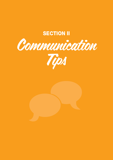# **SECTION II**



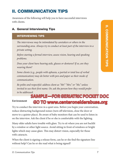## II. Communication Tips

Awareness of the following will help you to have successful interviews with clients.

## A. General Interviewing Tips

### INTERVIEWING TIPS

*The interviewee may be intimidated by caretakers or others in the surrounding area. Always try to conduct at least part of the interview in a private setting.* 

*Before starting a formal interview, assess vision, hearing and speaking problems.*

*Does your client have hearing aids, glasses or dentures? If so, are they wearing them?*

*Some clients (e.g., people with aphasia, a partial or total loss of verbal communication) may do better with pen and paper as their mode of communication.*

*Be polite and respectful: address client as "Mr." "Mrs." or "Ms." unless invited to use their first name. Or, ask the person how they would prefer* 

# to be addressed.<br>**SAMPLE—FOR GERIATRIC POCKET DOC**

**GO TO www.centeronelderabuse.org** 

#### **Environment**

Try to conduct the interview in a quiet area. Before you begin your conversation, reduce distracting background noises (turn off television, close the door or move to a quieter place). Be aware of baby monitors that can be used to listen in on the interview. Ask the client if he or she is comfortable with the lighting.

Many older adults have trouble with glare. Try to sit where you are not backlit by a window or other light source. Avoid sitting in front of windows or bright lights which may cause glare. This may distort vision, especially for those with cataracts.

When the client is signing a release form, can he or she find the signature line without help? Can he or she read what is being signed?